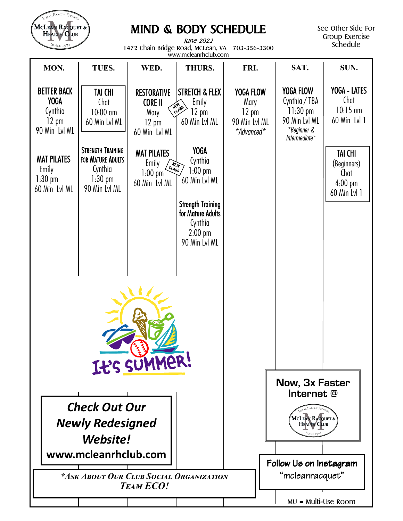